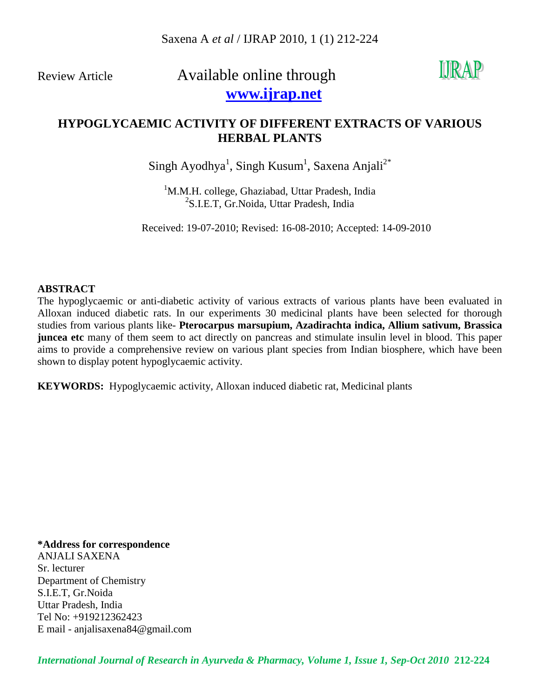# Review Article Available online through  **[www.ijrap.net](http://www.ijrap.net/)**



### **HYPOGLYCAEMIC ACTIVITY OF DIFFERENT EXTRACTS OF VARIOUS HERBAL PLANTS**

 ${\rm Singh\ Ayodhya^1, \mathbf{Singh\ Kusum^1, \mathbf{Saxena \ Anjali}^{2^*}}$ 

<sup>1</sup>M.M.H. college, Ghaziabad, Uttar Pradesh, India <sup>2</sup>S.I.E.T, Gr.Noida, Uttar Pradesh, India

Received: 19-07-2010; Revised: 16-08-2010; Accepted: 14-09-2010

#### **ABSTRACT**

The hypoglycaemic or anti-diabetic activity of various extracts of various plants have been evaluated in Alloxan induced diabetic rats. In our experiments 30 medicinal plants have been selected for thorough studies from various plants like- **Pterocarpus marsupium, Azadirachta indica, Allium sativum, Brassica juncea etc** many of them seem to act directly on pancreas and stimulate insulin level in blood. This paper aims to provide a comprehensive review on various plant species from Indian biosphere, which have been shown to display potent hypoglycaemic activity.

**KEYWORDS:** Hypoglycaemic activity, Alloxan induced diabetic rat, Medicinal plants

**\*Address for correspondence** ANJALI SAXENA Sr. lecturer Department of Chemistry S.I.E.T, Gr.Noida Uttar Pradesh, India Tel No: +919212362423 E mail - anjalisaxena84@gmail.com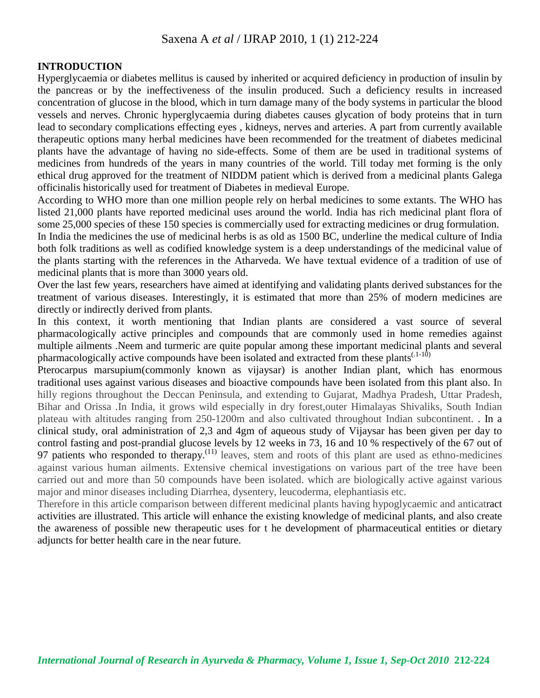#### **INTRODUCTION**

Hyperglycaemia or diabetes mellitus is caused by inherited or acquired deficiency in production of insulin by the pancreas or by the ineffectiveness of the insulin produced. Such a deficiency results in increased concentration of glucose in the blood, which in turn damage many of the body systems in particular the blood vessels and nerves. Chronic hyperglycaemia during diabetes causes glycation of body proteins that in turn lead to secondary complications effecting eyes , kidneys, nerves and arteries. A part from currently available therapeutic options many herbal medicines have been recommended for the treatment of diabetes medicinal plants have the advantage of having no side-effects. Some of them are be used in traditional systems of medicines from hundreds of the years in many countries of the world. Till today met forming is the only ethical drug approved for the treatment of NIDDM patient which is derived from a medicinal plants Galega officinalis historically used for treatment of Diabetes in medieval Europe.

According to WHO more than one million people rely on herbal medicines to some extants. The WHO has listed 21,000 plants have reported medicinal uses around the world. India has rich medicinal plant flora of some 25,000 species of these 150 species is commercially used for extracting medicines or drug formulation.

In India the medicines the use of medicinal herbs is as old as 1500 BC, underline the medical culture of India both folk traditions as well as codified knowledge system is a deep understandings of the medicinal value of the plants starting with the references in the Atharveda. We have textual evidence of a tradition of use of medicinal plants that is more than 3000 years old.

Over the last few years, researchers have aimed at identifying and validating plants derived substances for the treatment of various diseases. Interestingly, it is estimated that more than 25% of modern medicines are directly or indirectly derived from plants.

In this context, it worth mentioning that Indian plants are considered a vast source of several pharmacologically active principles and compounds that are commonly used in home remedies against multiple ailments .Neem and turmeric are quite popular among these important medicinal plants and several pharmacologically active compounds have been isolated and extracted from these plants<sup> $(1-10)$ </sup>

Pterocarpus marsupium(commonly known as vijaysar) is another Indian plant, which has enormous traditional uses against various diseases and bioactive compounds have been isolated from this plant also. In hilly regions throughout the Deccan Peninsula, and extending to Gujarat, Madhya Pradesh, Uttar Pradesh, Bihar and Orissa .In India, it grows wild especially in dry forest,outer Himalayas Shivaliks, South Indian plateau with altitudes ranging from 250-1200m and also cultivated throughout Indian subcontinent. . In a clinical study, oral administration of 2,3 and 4gm of aqueous study of Vijaysar has been given per day to control fasting and post-prandial glucose levels by 12 weeks in 73, 16 and 10 % respectively of the 67 out of 97 patients who responded to therapy.<sup>(11)</sup> leaves, stem and roots of this plant are used as ethno-medicines against various human ailments. Extensive chemical investigations on various part of the tree have been carried out and more than 50 compounds have been isolated. which are biologically active against various major and minor diseases including Diarrhea, dysentery, leucoderma, elephantiasis etc.

Therefore in this article comparison between different medicinal plants having hypoglycaemic and anticatract activities are illustrated. This article will enhance the existing knowledge of medicinal plants, and also create the awareness of possible new therapeutic uses for t he development of pharmaceutical entities or dietary adjuncts for better health care in the near future.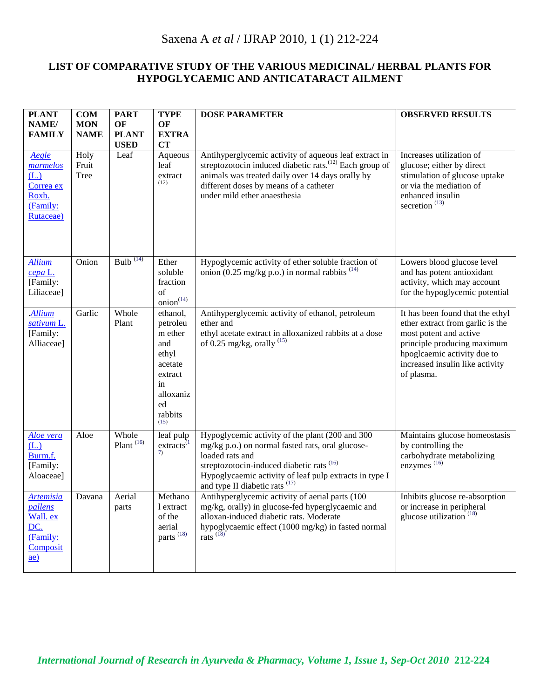#### **LIST OF COMPARATIVE STUDY OF THE VARIOUS MEDICINAL/ HERBAL PLANTS FOR HYPOGLYCAEMIC AND ANTICATARACT AILMENT**

| <b>PLANT</b><br>NAME/<br><b>FAMILY</b>                                                            | COM<br><b>MON</b><br><b>NAME</b> | <b>PART</b><br>OF<br><b>PLANT</b><br><b>USED</b> | <b>TYPE</b><br>OF<br><b>EXTRA</b><br><b>CT</b>                                                                    | <b>DOSE PARAMETER</b>                                                                                                                                                                                                                                                                 | <b>OBSERVED RESULTS</b>                                                                                                                                                                                       |
|---------------------------------------------------------------------------------------------------|----------------------------------|--------------------------------------------------|-------------------------------------------------------------------------------------------------------------------|---------------------------------------------------------------------------------------------------------------------------------------------------------------------------------------------------------------------------------------------------------------------------------------|---------------------------------------------------------------------------------------------------------------------------------------------------------------------------------------------------------------|
| Aegle<br>marmelos<br>(L.)<br>Correa ex<br>Roxb.<br>(Family:<br>Rutaceae)                          | Holy<br>Fruit<br>Tree            | Leaf                                             | Aqueous<br>leaf<br>extract<br>(12)                                                                                | Antihyperglycemic activity of aqueous leaf extract in<br>streptozotocin induced diabetic rats. <sup>(12)</sup> Each group of<br>animals was treated daily over 14 days orally by<br>different doses by means of a catheter<br>under mild ether anaesthesia                            | Increases utilization of<br>glucose; either by direct<br>stimulation of glucose uptake<br>or via the mediation of<br>enhanced insulin<br>secretion <sup>(13)</sup>                                            |
| <b>Allium</b><br>cepa L.<br>[Family:<br>Liliaceae]                                                | Onion                            | Bulb $^{(14)}$                                   | Ether<br>soluble<br>fraction<br>of<br>$\text{onion}^{(14)}$                                                       | Hypoglycemic activity of ether soluble fraction of<br>onion (0.25 mg/kg p.o.) in normal rabbits $(14)$                                                                                                                                                                                | Lowers blood glucose level<br>and has potent antioxidant<br>activity, which may account<br>for the hypoglycemic potential                                                                                     |
| <b>Allium</b><br>sativum L.<br>[Family:<br>Alliaceae]                                             | Garlic                           | Whole<br>Plant                                   | ethanol,<br>petroleu<br>m ether<br>and<br>ethyl<br>acetate<br>extract<br>in<br>alloxaniz<br>ed<br>rabbits<br>(15) | Antihyperglycemic activity of ethanol, petroleum<br>ether and<br>ethyl acetate extract in alloxanized rabbits at a dose<br>of 0.25 mg/kg, orally $^{(15)}$                                                                                                                            | It has been found that the ethyl<br>ether extract from garlic is the<br>most potent and active<br>principle producing maximum<br>hpoglcaemic activity due to<br>increased insulin like activity<br>of plasma. |
| Aloe vera<br>(L.)<br>Burm.f.<br>[Family:<br>Aloaceae]                                             | Aloe                             | Whole<br>Plant <sup>(16)</sup>                   | leaf pulp<br>$extracts$ <sup><math>(1)</math></sup><br>7)                                                         | Hypoglycemic activity of the plant (200 and 300<br>mg/kg p.o.) on normal fasted rats, oral glucose-<br>loaded rats and<br>streptozotocin-induced diabetic rats <sup>(16)</sup><br>Hypoglycaemic activity of leaf pulp extracts in type I<br>and type II diabetic rats <sup>(17)</sup> | Maintains glucose homeostasis<br>by controlling the<br>carbohydrate metabolizing<br>enzymes <sup>(16)</sup>                                                                                                   |
| <b>Artemisia</b><br><i>pallens</i><br>Wall. ex<br>DC.<br>(Family:<br>Composit<br>$\underline{ae}$ | Davana                           | Aerial<br>parts                                  | Methano<br>l extract<br>of the<br>aerial<br>parts <sup>(18)</sup>                                                 | Antihyperglycemic activity of aerial parts (100<br>mg/kg, orally) in glucose-fed hyperglycaemic and<br>alloxan-induced diabetic rats. Moderate<br>hypoglycaemic effect (1000 mg/kg) in fasted normal<br>rats $^{(18)}$                                                                | Inhibits glucose re-absorption<br>or increase in peripheral<br>glucose utilization <sup>(18)</sup>                                                                                                            |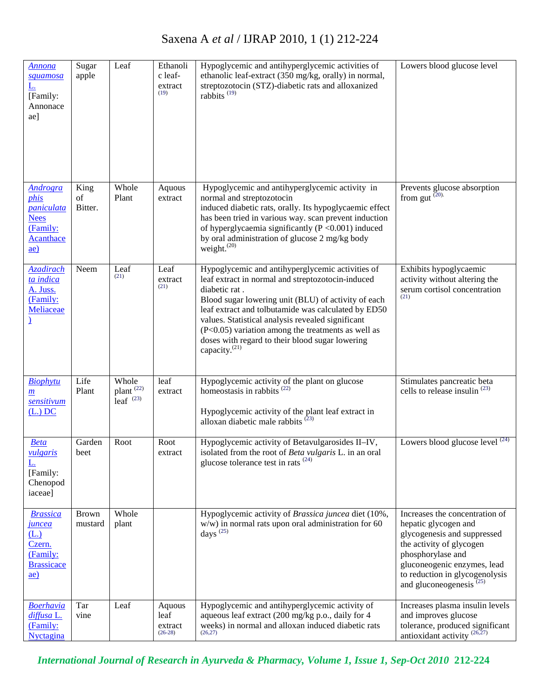| <b>Annona</b><br>squamosa<br><u>L.</u><br>[Family:<br>Annonace<br>ae]                                             | Sugar<br>apple          | Leaf                                          | Ethanoli<br>c leaf-<br>extract<br>(19) | Hypoglycemic and antihyperglycemic activities of<br>ethanolic leaf-extract (350 mg/kg, orally) in normal,<br>streptozotocin (STZ)-diabetic rats and alloxanized<br>rabbits <sup><math>(19)</math></sup>                                                                                                                                                                                                                         | Lowers blood glucose level                                                                                                                                                                                                               |
|-------------------------------------------------------------------------------------------------------------------|-------------------------|-----------------------------------------------|----------------------------------------|---------------------------------------------------------------------------------------------------------------------------------------------------------------------------------------------------------------------------------------------------------------------------------------------------------------------------------------------------------------------------------------------------------------------------------|------------------------------------------------------------------------------------------------------------------------------------------------------------------------------------------------------------------------------------------|
| <b>Androgra</b><br>phis<br><i>paniculata</i><br><b>Nees</b><br>(Family:<br><b>Acanthace</b><br>$\underline{ae}$ ) | King<br>of<br>Bitter.   | Whole<br>Plant                                | Aquous<br>extract                      | Hypoglycemic and antihyperglycemic activity in<br>normal and streptozotocin<br>induced diabetic rats, orally. Its hypoglycaemic effect<br>has been tried in various way. scan prevent induction<br>of hyperglycaemia significantly ( $P < 0.001$ ) induced<br>by oral administration of glucose 2 mg/kg body<br>weight. $^{(20)}$                                                                                               | Prevents glucose absorption<br>from gut $(20)$ .                                                                                                                                                                                         |
| Azadirach<br>ta indica<br>A. Juss.<br>(Family:<br>Meliaceae                                                       | Neem                    | Leaf<br>(21)                                  | Leaf<br>extract<br>(21)                | Hypoglycemic and antihyperglycemic activities of<br>leaf extract in normal and streptozotocin-induced<br>diabetic rat.<br>Blood sugar lowering unit (BLU) of activity of each<br>leaf extract and tolbutamide was calculated by ED50<br>values. Statistical analysis revealed significant<br>(P<0.05) variation among the treatments as well as<br>doses with regard to their blood sugar lowering<br>capacity. <sup>(21)</sup> | Exhibits hypoglycaemic<br>activity without altering the<br>serum cortisol concentration<br>(21)                                                                                                                                          |
| Biophytu<br>$\underline{\mathbf{m}}$<br>sensitivum<br>$(L)$ DC                                                    | Life<br>Plant           | Whole<br>plant <sup>(22)</sup><br>leaf $(23)$ | leaf<br>extract                        | Hypoglycemic activity of the plant on glucose<br>homeostasis in rabbits $^{(22)}$<br>Hypoglycemic activity of the plant leaf extract in<br>alloxan diabetic male rabbits <sup>(23)</sup>                                                                                                                                                                                                                                        | Stimulates pancreatic beta<br>cells to release insulin $(23)$                                                                                                                                                                            |
| <b>Beta</b><br><u>vulgaris</u><br><u>L.</u><br>[Family:<br>Chenopod<br>iaceae]                                    | Garden<br>beet          | Root                                          | Root<br>extract                        | Hypoglycemic activity of Betavulgarosides II-IV,<br>isolated from the root of Beta vulgaris L. in an oral<br>glucose tolerance test in rats $(24)$                                                                                                                                                                                                                                                                              | Lowers blood glucose level $(24)$                                                                                                                                                                                                        |
| <b>Brassica</b><br><u>juncea</u><br>(L.)<br>Czern.<br>(Family:<br><b>Brassicace</b><br>$\underline{ae}$ )         | <b>Brown</b><br>mustard | Whole<br>plant                                |                                        | Hypoglycemic activity of Brassica juncea diet (10%,<br>$w/w$ ) in normal rats upon oral administration for 60<br>days <sup><math>(25)</math></sup>                                                                                                                                                                                                                                                                              | Increases the concentration of<br>hepatic glycogen and<br>glycogenesis and suppressed<br>the activity of glycogen<br>phosphorylase and<br>gluconeogenic enzymes, lead<br>to reduction in glycogenolysis<br>and gluconeogenesis $^{(25)}$ |
| <b>Boerhavia</b><br>diffusa L.<br>(Family:<br><b>Nyctagina</b>                                                    | Tar<br>vine             | Leaf                                          | Aquous<br>leaf<br>extract<br>$(26-28)$ | Hypoglycemic and antihyperglycemic activity of<br>aqueous leaf extract (200 mg/kg p.o., daily for 4<br>weeks) in normal and alloxan induced diabetic rats<br>(26, 27)                                                                                                                                                                                                                                                           | Increases plasma insulin levels<br>and improves glucose<br>tolerance, produced significant<br>antioxidant activity $(26,27)$                                                                                                             |

*International Journal of Research in Ayurveda & Pharmacy, Volume 1, Issue 1, Sep-Oct 2010* **212-224**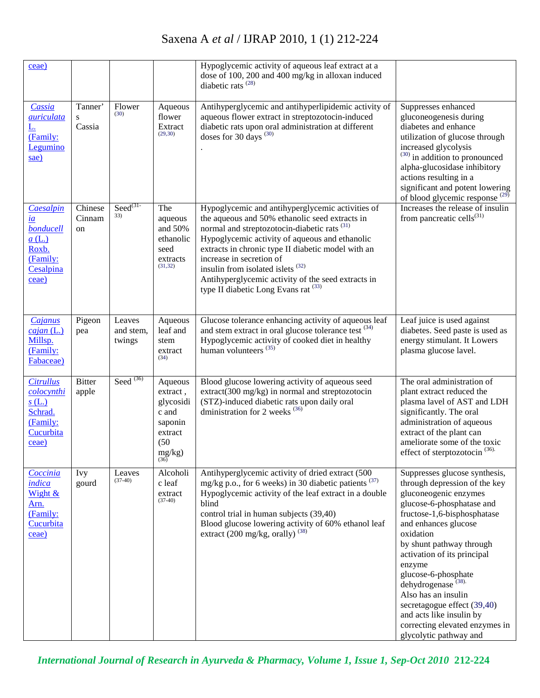| ceae)                                                                                         |                         |                               |                                                                                            | Hypoglycemic activity of aqueous leaf extract at a<br>dose of 100, 200 and 400 mg/kg in alloxan induced<br>diabetic rats $^{(28)}$                                                                                                                                                                                                                                                                                                                         |                                                                                                                                                                                                                                                                                                                                                                                                                                                                     |
|-----------------------------------------------------------------------------------------------|-------------------------|-------------------------------|--------------------------------------------------------------------------------------------|------------------------------------------------------------------------------------------------------------------------------------------------------------------------------------------------------------------------------------------------------------------------------------------------------------------------------------------------------------------------------------------------------------------------------------------------------------|---------------------------------------------------------------------------------------------------------------------------------------------------------------------------------------------------------------------------------------------------------------------------------------------------------------------------------------------------------------------------------------------------------------------------------------------------------------------|
| Cassia<br><i>auriculata</i><br>(Family:<br>Legumino<br>sae)                                   | Tanner'<br>S<br>Cassia  | Flower<br>(30)                | Aqueous<br>flower<br>Extract<br>(29, 30)                                                   | Antihyperglycemic and antihyperlipidemic activity of<br>aqueous flower extract in streptozotocin-induced<br>diabetic rats upon oral administration at different<br>doses for 30 days <sup>(30)</sup>                                                                                                                                                                                                                                                       | Suppresses enhanced<br>gluconeogenesis during<br>diabetes and enhance<br>utilization of glucose through<br>increased glycolysis<br>$^{(30)}$ in addition to pronounced<br>alpha-glucosidase inhibitory<br>actions resulting in a<br>significant and potent lowering<br>of blood glycemic response <sup>(29)</sup>                                                                                                                                                   |
| Caesalpin<br>$\underline{ia}$<br>bonducell<br>a(L)<br>Roxb.<br>(Family:<br>Cesalpina<br>ceae) | Chinese<br>Cinnam<br>on | $\text{Seed}^{(31)}$<br>33)   | The<br>aqueous<br>and 50%<br>ethanolic<br>seed<br>extracts<br>(31, 32)                     | Hypoglycemic and antihyperglycemic activities of<br>the aqueous and 50% ethanolic seed extracts in<br>normal and streptozotocin-diabetic rats <sup>(31)</sup><br>Hypoglycemic activity of aqueous and ethanolic<br>extracts in chronic type II diabetic model with an<br>increase in secretion of<br>insulin from isolated islets <sup>(32)</sup><br>Antihyperglycemic activity of the seed extracts in<br>type II diabetic Long Evans rat <sup>(33)</sup> | Increases the release of insulin<br>from pancreatic cells $^{(31)}$                                                                                                                                                                                                                                                                                                                                                                                                 |
| Cajanus<br>cajan(L.)<br>Millsp.<br>(Family:<br>Fabaceae)                                      | Pigeon<br>pea           | Leaves<br>and stem,<br>twings | Aqueous<br>leaf and<br>stem<br>extract<br>(34)                                             | Glucose tolerance enhancing activity of aqueous leaf<br>and stem extract in oral glucose tolerance test <sup>(34)</sup><br>Hypoglycemic activity of cooked diet in healthy<br>human volunteers $(35)$                                                                                                                                                                                                                                                      | Leaf juice is used against<br>diabetes. Seed paste is used as<br>energy stimulant. It Lowers<br>plasma glucose lavel.                                                                                                                                                                                                                                                                                                                                               |
| <b>Citrullus</b><br>colocynthi<br>s(L)<br>Schrad.<br>(Family:<br>Cucurbita<br>ceae)           | <b>Bitter</b><br>apple  | Seed $^{(36)}$                | Aqueous<br>extract,<br>glycosidi<br>c and<br>saponin<br>extract<br>(50)<br>$\text{mg/kg)}$ | Blood glucose lowering activity of aqueous seed<br>extract(300 mg/kg) in normal and streptozotocin<br>(STZ)-induced diabetic rats upon daily oral<br>dministration for 2 weeks $^{(36)}$                                                                                                                                                                                                                                                                   | The oral administration of<br>plant extract reduced the<br>plasma lavel of AST and LDH<br>significantly. The oral<br>administration of aqueous<br>extract of the plant can<br>ameliorate some of the toxic<br>effect of sterptozotocin <sup>(36)</sup> .                                                                                                                                                                                                            |
| Coccinia<br>indica<br>Wight &<br>Arn.<br>(Family:<br>Cucurbita<br>ceae)                       | <b>Ivy</b><br>gourd     | Leaves<br>$(37-40)$           | Alcoholi<br>c leaf<br>extract<br>$(37-40)$                                                 | Antihyperglycemic activity of dried extract (500<br>mg/kg p.o., for 6 weeks) in 30 diabetic patients <sup>(37)</sup><br>Hypoglycemic activity of the leaf extract in a double<br>blind<br>control trial in human subjects (39,40)<br>Blood glucose lowering activity of 60% ethanol leaf<br>extract (200 mg/kg, orally) $^{(38)}$                                                                                                                          | Suppresses glucose synthesis,<br>through depression of the key<br>gluconeogenic enzymes<br>glucose-6-phosphatase and<br>fructose-1,6-bisphosphatase<br>and enhances glucose<br>oxidation<br>by shunt pathway through<br>activation of its principal<br>enzyme<br>glucose-6-phosphate<br>dehydrogenase <sup>(38)</sup><br>Also has an insulin<br>secretagogue effect (39,40)<br>and acts like insulin by<br>correcting elevated enzymes in<br>glycolytic pathway and |

*International Journal of Research in Ayurveda & Pharmacy, Volume 1, Issue 1, Sep-Oct 2010* **212-224**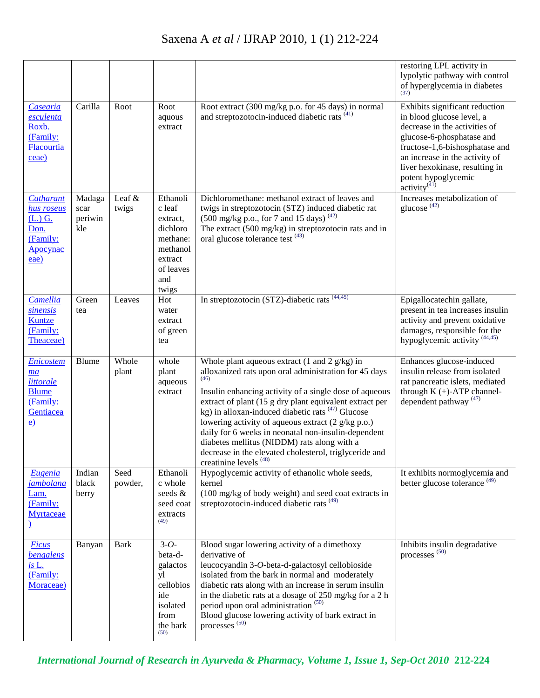|                                                                              |                                  |                 |                                                                                                            |                                                                                                                                                                                                                                                                                                                                                                                                                                                                                                                                                                          | restoring LPL activity in<br>lypolytic pathway with control<br>of hyperglycemia in diabetes<br>(37)                                                                                                                                                                          |
|------------------------------------------------------------------------------|----------------------------------|-----------------|------------------------------------------------------------------------------------------------------------|--------------------------------------------------------------------------------------------------------------------------------------------------------------------------------------------------------------------------------------------------------------------------------------------------------------------------------------------------------------------------------------------------------------------------------------------------------------------------------------------------------------------------------------------------------------------------|------------------------------------------------------------------------------------------------------------------------------------------------------------------------------------------------------------------------------------------------------------------------------|
| Casearia<br>esculenta<br>Roxb.<br>(Family:<br>Flacourtia<br>ceae)            | Carilla                          | Root            | Root<br>aquous<br>extract                                                                                  | Root extract (300 mg/kg p.o. for 45 days) in normal<br>and streptozotocin-induced diabetic rats <sup>(41)</sup>                                                                                                                                                                                                                                                                                                                                                                                                                                                          | Exhibits significant reduction<br>in blood glucose level, a<br>decrease in the activities of<br>glucose-6-phosphatase and<br>fructose-1,6-bishosphatase and<br>an increase in the activity of<br>liver hexokinase, resulting in<br>potent hypoglycemic<br>$\arcsin(y^{(41)}$ |
| Catharant<br>hus roseus<br>$(L)$ G.<br>Don.<br>(Family:<br>Apocynac<br>eae)  | Madaga<br>scar<br>periwin<br>kle | Leaf &<br>twigs | Ethanoli<br>c leaf<br>extract,<br>dichloro<br>methane:<br>methanol<br>extract<br>of leaves<br>and<br>twigs | Dichloromethane: methanol extract of leaves and<br>twigs in streptozotocin (STZ) induced diabetic rat<br>$(500 \text{ mg/kg p.o.}, \text{for } 7 \text{ and } 15 \text{ days})$ <sup>(42)</sup><br>The extract (500 mg/kg) in streptozotocin rats and in<br>oral glucose tolerance test <sup>(43)</sup>                                                                                                                                                                                                                                                                  | Increases metabolization of<br>glucose <sup>(42)</sup>                                                                                                                                                                                                                       |
| <b>Camellia</b><br>sinensis<br>Kuntze<br>(Family:<br>Theaceae)               | Green<br>tea                     | Leaves          | Hot<br>water<br>extract<br>of green<br>tea                                                                 | In streptozotocin (STZ)-diabetic rats (44,45)                                                                                                                                                                                                                                                                                                                                                                                                                                                                                                                            | Epigallocatechin gallate,<br>present in tea increases insulin<br>activity and prevent oxidative<br>damages, responsible for the<br>hypoglycemic activity <sup>(44,45)</sup>                                                                                                  |
| Enicostem<br>ma<br>littorale<br><b>Blume</b><br>(Family:<br>Gentiacea<br>e)  | Blume                            | Whole<br>plant  | whole<br>plant<br>aqueous<br>extract                                                                       | Whole plant aqueous extract $(1 \text{ and } 2 \text{ g/kg})$ in<br>alloxanized rats upon oral administration for 45 days<br>(46)<br>Insulin enhancing activity of a single dose of aqueous<br>extract of plant (15 g dry plant equivalent extract per<br>kg) in alloxan-induced diabetic rats $(47)$ Glucose<br>lowering activity of aqueous extract (2 g/kg p.o.)<br>daily for 6 weeks in neonatal non-insulin-dependent<br>diabetes mellitus (NIDDM) rats along with a<br>decrease in the elevated cholesterol, triglyceride and<br>creatinine levels <sup>(48)</sup> | Enhances glucose-induced<br>insulin release from isolated<br>rat pancreatic islets, mediated<br>through $K (+)$ -ATP channel-<br>dependent pathway <sup>(47)</sup>                                                                                                           |
| Eugenia<br><i>jambolana</i><br>Lam.<br>(Family:<br>Myrtaceae<br>$\mathbf{r}$ | Indian<br>black<br>berry         | Seed<br>powder, | Ethanoli<br>c whole<br>seeds &<br>seed coat<br>extracts<br>(49)                                            | Hypoglycemic activity of ethanolic whole seeds,<br>kernel<br>(100 mg/kg of body weight) and seed coat extracts in<br>streptozotocin-induced diabetic rats <sup>(49)</sup>                                                                                                                                                                                                                                                                                                                                                                                                | It exhibits normoglycemia and<br>better glucose tolerance <sup>(49)</sup>                                                                                                                                                                                                    |
| <b>Ficus</b><br>bengalens<br>is L.<br>(Family:<br>Moraceae)                  | Banyan                           | <b>Bark</b>     | $3 - 0 -$<br>beta-d-<br>galactos<br>yl<br>cellobios<br>ide<br>isolated<br>from<br>the bark<br>(50)         | Blood sugar lowering activity of a dimethoxy<br>derivative of<br>leucocyandin 3-O-beta-d-galactosyl cellobioside<br>isolated from the bark in normal and moderately<br>diabetic rats along with an increase in serum insulin<br>in the diabetic rats at a dosage of 250 mg/kg for a 2 h<br>period upon oral administration <sup>(50)</sup><br>Blood glucose lowering activity of bark extract in<br>processes <sup>(50)</sup>                                                                                                                                            | Inhibits insulin degradative<br>processes <sup>(50)</sup>                                                                                                                                                                                                                    |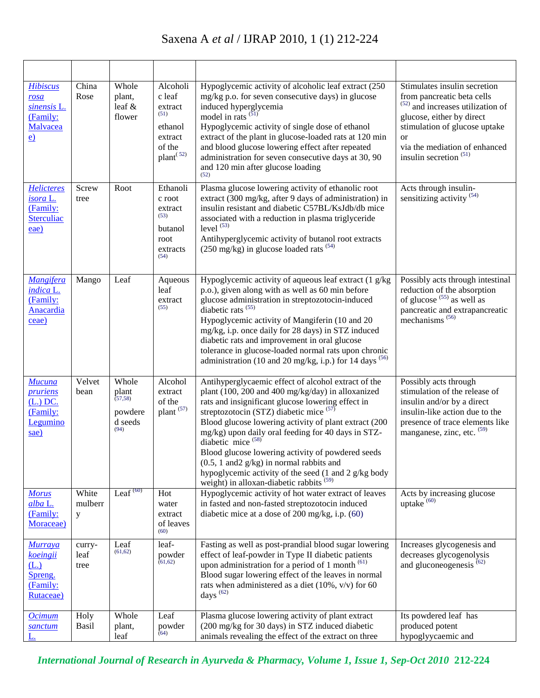| <b>Hibiscus</b><br>rosa<br>sinensis L.<br>(Family:<br>Malvacea<br>$\underline{e}$ | China<br>Rose          | Whole<br>plant,<br>leaf &<br>flower                      | Alcoholi<br>c leaf<br>extract<br>(51)<br>ethanol<br>extract<br>of the<br>plant <sup>(52)</sup> | Hypoglycemic activity of alcoholic leaf extract (250<br>mg/kg p.o. for seven consecutive days) in glucose<br>induced hyperglycemia<br>model in rats $\overline{51}$<br>Hypoglycemic activity of single dose of ethanol<br>extract of the plant in glucose-loaded rats at 120 min<br>and blood glucose lowering effect after repeated<br>administration for seven consecutive days at 30, 90<br>and 120 min after glucose loading<br>(52)                                                                                                                                                      | Stimulates insulin secretion<br>from pancreatic beta cells<br>(52)<br>and increases utilization of<br>glucose, either by direct<br>stimulation of glucose uptake<br><b>or</b><br>via the mediation of enhanced<br>insulin secretion <sup><math>(51)</math></sup> |
|-----------------------------------------------------------------------------------|------------------------|----------------------------------------------------------|------------------------------------------------------------------------------------------------|-----------------------------------------------------------------------------------------------------------------------------------------------------------------------------------------------------------------------------------------------------------------------------------------------------------------------------------------------------------------------------------------------------------------------------------------------------------------------------------------------------------------------------------------------------------------------------------------------|------------------------------------------------------------------------------------------------------------------------------------------------------------------------------------------------------------------------------------------------------------------|
| <b>Helicteres</b><br>isora L.<br>(Family:<br><b>Sterculiac</b><br>eae)            | Screw<br>tree          | Root                                                     | Ethanoli<br>c root<br>extract<br>(53)<br>butanol<br>root<br>extracts<br>(54)                   | Plasma glucose lowering activity of ethanolic root<br>extract (300 mg/kg, after 9 days of administration) in<br>insulin resistant and diabetic C57BL/KsJdb/db mice<br>associated with a reduction in plasma triglyceride<br>level $(53)$<br>Antihyperglycemic activity of butanol root extracts<br>(250 mg/kg) in glucose loaded rats <sup>(54)</sup>                                                                                                                                                                                                                                         | Acts through insulin-<br>sensitizing activity $(54)$                                                                                                                                                                                                             |
| <b>Mangifera</b><br>indica L.<br>(Family:<br>Anacardia<br>ceae)                   | Mango                  | Leaf                                                     | Aqueous<br>leaf<br>extract<br>(55)                                                             | Hypoglycemic activity of aqueous leaf extract (1 g/kg)<br>p.o.), given along with as well as 60 min before<br>glucose administration in streptozotocin-induced<br>diabetic rats <sup>(55)</sup><br>Hypoglycemic activity of Mangiferin (10 and 20<br>mg/kg, i.p. once daily for 28 days) in STZ induced<br>diabetic rats and improvement in oral glucose<br>tolerance in glucose-loaded normal rats upon chronic<br>administration (10 and 20 mg/kg, i.p.) for 14 days $(56)$                                                                                                                 | Possibly acts through intestinal<br>reduction of the absorption<br>of glucose $(55)$ as well as<br>pancreatic and extrapancreatic<br>mechanisms <sup>(56)</sup>                                                                                                  |
| Mucuna<br><i>pruriens</i><br>$(L.)$ DC.<br>(Family:<br>Legumino<br>sae)           | Velvet<br>bean         | Whole<br>plant<br>(57, 58)<br>powdere<br>d seeds<br>(94) | Alcohol<br>extract<br>of the<br>plant <sup>(57)</sup>                                          | Antihyperglycaemic effect of alcohol extract of the<br>plant (100, 200 and 400 mg/kg/day) in alloxanized<br>rats and insignificant glucose lowering effect in<br>streptozotocin (STZ) diabetic mice $(57)$<br>Blood glucose lowering activity of plant extract (200<br>mg/kg) upon daily oral feeding for 40 days in STZ-<br>diabetic mice <sup>(58)</sup><br>Blood glucose lowering activity of powdered seeds<br>$(0.5, 1 \text{ and} 2 \text{ g/kg})$ in normal rabbits and<br>hypoglycemic activity of the seed (1 and 2 g/kg body<br>weight) in alloxan-diabetic rabbits <sup>(59)</sup> | Possibly acts through<br>stimulation of the release of<br>insulin and/or by a direct<br>insulin-like action due to the<br>presence of trace elements like<br>manganese, zinc, etc. (59)                                                                          |
| <b>Morus</b><br>alba L.<br>(Family:<br>Moraceae)                                  | White<br>mulberr<br>y  | Leaf $(60)$                                              | Hot<br>water<br>extract<br>of leaves<br>(60)                                                   | Hypoglycemic activity of hot water extract of leaves<br>in fasted and non-fasted streptozotocin induced<br>diabetic mice at a dose of $200$ mg/kg, i.p. $(60)$                                                                                                                                                                                                                                                                                                                                                                                                                                | Acts by increasing glucose<br>uptake <sup>(60)</sup>                                                                                                                                                                                                             |
| Murraya<br>koeingii<br>(L.)<br>Spreng.<br>(Family:<br>Rutaceae)                   | curry-<br>leaf<br>tree | Leaf<br>(61, 62)                                         | leaf-<br>powder<br>(61, 62)                                                                    | Fasting as well as post-prandial blood sugar lowering<br>effect of leaf-powder in Type II diabetic patients<br>upon administration for a period of 1 month (61)<br>Blood sugar lowering effect of the leaves in normal<br>rats when administered as a diet $(10\%, v/v)$ for 60<br>days $^{(62)}$                                                                                                                                                                                                                                                                                             | Increases glycogenesis and<br>decreases glycogenolysis<br>and gluconeogenesis <sup>(62)</sup>                                                                                                                                                                    |
| <b>Ocimum</b><br>sanctum                                                          | Holy<br>Basil          | Whole<br>plant,<br>leaf                                  | Leaf<br>powder<br>(64)                                                                         | Plasma glucose lowering activity of plant extract<br>(200 mg/kg for 30 days) in STZ induced diabetic<br>animals revealing the effect of the extract on three                                                                                                                                                                                                                                                                                                                                                                                                                                  | Its powdered leaf has<br>produced potent<br>hypoglyycaemic and                                                                                                                                                                                                   |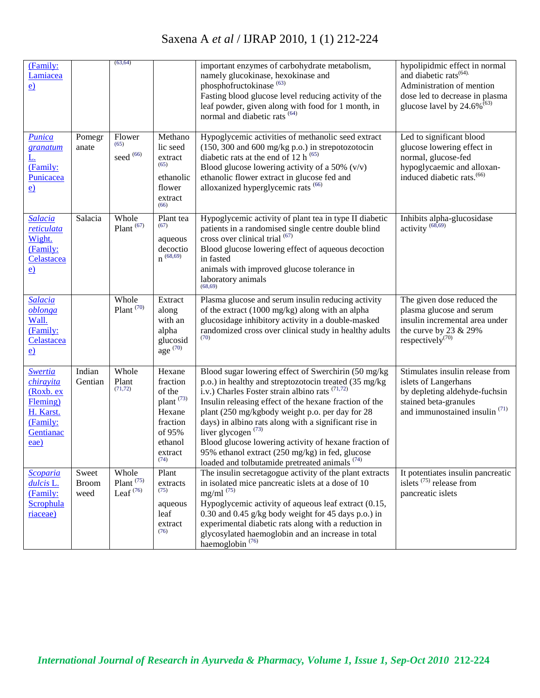| (Family:<br>Lamiacea<br>$\underline{e}$                                                            |                               | (63, 64)                                |                                                                                                                     | important enzymes of carbohydrate metabolism,<br>namely glucokinase, hexokinase and<br>phosphofructokinase <sup>(63)</sup><br>Fasting blood glucose level reducing activity of the<br>leaf powder, given along with food for 1 month, in<br>normal and diabetic rats <sup>(64)</sup>                                                                                                                                                                                                                                                       | hypolipidmic effect in normal<br>and diabetic rats <sup>(64)</sup> .<br>Administration of mention<br>dose led to decrease in plasma<br>glucose lavel by $24.6\%$ <sup>(63)</sup> |
|----------------------------------------------------------------------------------------------------|-------------------------------|-----------------------------------------|---------------------------------------------------------------------------------------------------------------------|--------------------------------------------------------------------------------------------------------------------------------------------------------------------------------------------------------------------------------------------------------------------------------------------------------------------------------------------------------------------------------------------------------------------------------------------------------------------------------------------------------------------------------------------|----------------------------------------------------------------------------------------------------------------------------------------------------------------------------------|
| Punica<br>granatum<br><u>L.</u><br>(Family:<br>Punicacea<br>e)                                     | Pomegr<br>anate               | Flower<br>(65)<br>seed $(66)$           | Methano<br>lic seed<br>extract<br>(65)<br>ethanolic<br>flower<br>extract<br>(66)                                    | Hypoglycemic activities of methanolic seed extract<br>(150, 300 and 600 mg/kg p.o.) in strepotozotocin<br>diabetic rats at the end of 12 h $^{(65)}$<br>Blood glucose lowering activity of a 50% $(v/v)$<br>ethanolic flower extract in glucose fed and<br>alloxanized hyperglycemic rats <sup>(66)</sup>                                                                                                                                                                                                                                  | Led to significant blood<br>glucose lowering effect in<br>normal, glucose-fed<br>hypoglycaemic and alloxan-<br>induced diabetic rats. <sup>(66)</sup>                            |
| Salacia<br>reticulata<br>Wight.<br>(Family:<br>Celastacea<br>e)                                    | Salacia                       | Whole<br>Plant $(67)$                   | Plant tea<br>(67)<br>aqueous<br>decoctio<br>$n^{(68, 69)}$                                                          | Hypoglycemic activity of plant tea in type II diabetic<br>patients in a randomised single centre double blind<br>cross over clinical trial (67)<br>Blood glucose lowering effect of aqueous decoction<br>in fasted<br>animals with improved glucose tolerance in<br>laboratory animals<br>(68, 69)                                                                                                                                                                                                                                         | Inhibits alpha-glucosidase<br>activity <sup>(68,69)</sup>                                                                                                                        |
| <b>Salacia</b><br>oblonga<br>Wall.<br>(Family:<br>Celastacea<br>e)                                 |                               | Whole<br>Plant $(70)$                   | Extract<br>along<br>with an<br>alpha<br>glucosid<br>age $(70)$                                                      | Plasma glucose and serum insulin reducing activity<br>of the extract $(1000 \text{ mg/kg})$ along with an alpha<br>glucosidage inhibitory activity in a double-masked<br>randomized cross over clinical study in healthy adults                                                                                                                                                                                                                                                                                                            | The given dose reduced the<br>plasma glucose and serum<br>insulin incremental area under<br>the curve by 23 $& 29\%$<br>respectively <sup><math>(70)</math></sup>                |
| <b>Swertia</b><br>chirayita<br>(Roxb. ex<br>Fleming)<br>H. Karst.<br>(Family:<br>Gentianac<br>eae) | Indian<br>Gentian             | Whole<br>Plant<br>(71, 72)              | Hexane<br>fraction<br>of the<br>plant <sup>(73)</sup><br>Hexane<br>fraction<br>of 95%<br>ethanol<br>extract<br>(74) | Blood sugar lowering effect of Swerchirin (50 mg/kg)<br>p.o.) in healthy and streptozotocin treated (35 mg/kg<br>i.v.) Charles Foster strain albino rats $(71,72)$<br>Insulin releasing effect of the hexane fraction of the<br>plant (250 mg/kgbody weight p.o. per day for 28<br>days) in albino rats along with a significant rise in<br>liver glycogen $(73)$<br>Blood glucose lowering activity of hexane fraction of<br>95% ethanol extract (250 mg/kg) in fed, glucose<br>loaded and tolbutamide pretreated animals <sup>(74)</sup> | Stimulates insulin release from<br>islets of Langerhans<br>by depleting aldehyde-fuchsin<br>stained beta-granules<br>and immunostained insulin $(71)$                            |
| <b>Scoparia</b><br>dulcis L.<br>(Family:<br>Scrophula<br>riaceae)                                  | Sweet<br><b>Broom</b><br>weed | Whole<br>Plant $^{(75)}$<br>Leaf $(76)$ | Plant<br>extracts<br>(75)<br>aqueous<br>leaf<br>extract<br>(76)                                                     | The insulin secretagogue activity of the plant extracts<br>in isolated mice pancreatic islets at a dose of 10<br>$mg/ml$ <sup><math>(75)</math></sup><br>Hypoglycemic activity of aqueous leaf extract (0.15,<br>0.30 and 0.45 g/kg body weight for 45 days p.o.) in<br>experimental diabetic rats along with a reduction in<br>glycosylated haemoglobin and an increase in total<br>haemoglobin <sup>(76)</sup>                                                                                                                           | It potentiates insulin pancreatic<br>islets $(75)$ release from<br>pancreatic islets                                                                                             |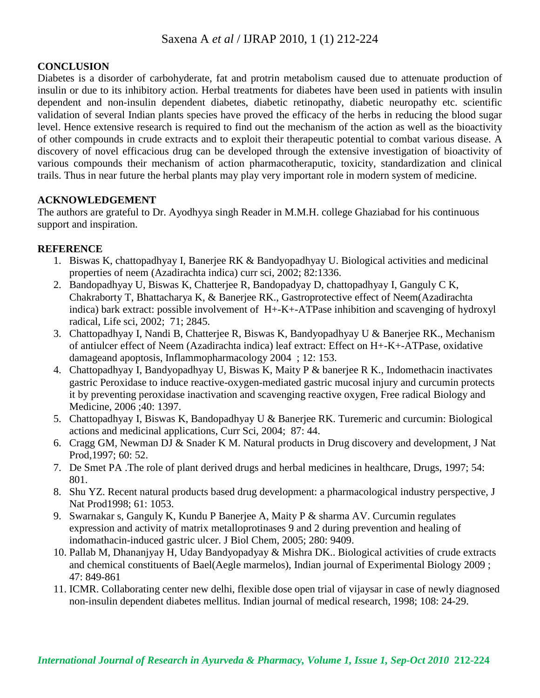#### **CONCLUSION**

Diabetes is a disorder of carbohyderate, fat and protrin metabolism caused due to attenuate production of insulin or due to its inhibitory action. Herbal treatments for diabetes have been used in patients with insulin dependent and non-insulin dependent diabetes, diabetic retinopathy, diabetic neuropathy etc. scientific validation of several Indian plants species have proved the efficacy of the herbs in reducing the blood sugar level. Hence extensive research is required to find out the mechanism of the action as well as the bioactivity of other compounds in crude extracts and to exploit their therapeutic potential to combat various disease. A discovery of novel efficacious drug can be developed through the extensive investigation of bioactivity of various compounds their mechanism of action pharmacotheraputic, toxicity, standardization and clinical trails. Thus in near future the herbal plants may play very important role in modern system of medicine.

#### **ACKNOWLEDGEMENT**

The authors are grateful to Dr. Ayodhyya singh Reader in M.M.H. college Ghaziabad for his continuous support and inspiration.

#### **REFERENCE**

- 1. Biswas K, chattopadhyay I, Banerjee RK & Bandyopadhyay U. Biological activities and medicinal properties of neem (Azadirachta indica) curr sci, 2002; 82:1336.
- 2. Bandopadhyay U, Biswas K, Chatterjee R, Bandopadyay D, chattopadhyay I, Ganguly C K, Chakraborty T, Bhattacharya K, & Banerjee RK., Gastroprotective effect of Neem(Azadirachta indica) bark extract: possible involvement of H+-K+-ATPase inhibition and scavenging of hydroxyl radical, Life sci, 2002; 71; 2845.
- 3. Chattopadhyay I, Nandi B, Chatterjee R, Biswas K, Bandyopadhyay U & Banerjee RK., Mechanism of antiulcer effect of Neem (Azadirachta indica) leaf extract: Effect on H+-K+-ATPase, oxidative damageand apoptosis, Inflammopharmacology 2004 ; 12: 153.
- 4. Chattopadhyay I, Bandyopadhyay U, Biswas K, Maity P & banerjee R K., Indomethacin inactivates gastric Peroxidase to induce reactive-oxygen-mediated gastric mucosal injury and curcumin protects it by preventing peroxidase inactivation and scavenging reactive oxygen, Free radical Biology and Medicine, 2006 ;40: 1397.
- 5. Chattopadhyay I, Biswas K, Bandopadhyay U & Banerjee RK. Turemeric and curcumin: Biological actions and medicinal applications, Curr Sci, 2004; 87: 44.
- 6. Cragg GM, Newman DJ & Snader K M. Natural products in Drug discovery and development, J Nat Prod,1997; 60: 52.
- 7. De Smet PA .The role of plant derived drugs and herbal medicines in healthcare, Drugs, 1997; 54: 801.
- 8. Shu YZ. Recent natural products based drug development: a pharmacological industry perspective, J Nat Prod1998; 61: 1053.
- 9. Swarnakar s, Ganguly K, Kundu P Banerjee A, Maity P & sharma AV. Curcumin regulates expression and activity of matrix metalloprotinases 9 and 2 during prevention and healing of indomathacin-induced gastric ulcer. J Biol Chem, 2005; 280: 9409.
- 10. Pallab M, Dhananjyay H, Uday Bandyopadyay & Mishra DK.. Biological activities of crude extracts and chemical constituents of Bael(Aegle marmelos), Indian journal of Experimental Biology 2009 ; 47: 849-861
- 11. ICMR. Collaborating center new delhi, flexible dose open trial of vijaysar in case of newly diagnosed non-insulin dependent diabetes mellitus. Indian journal of medical research, 1998; 108: 24-29.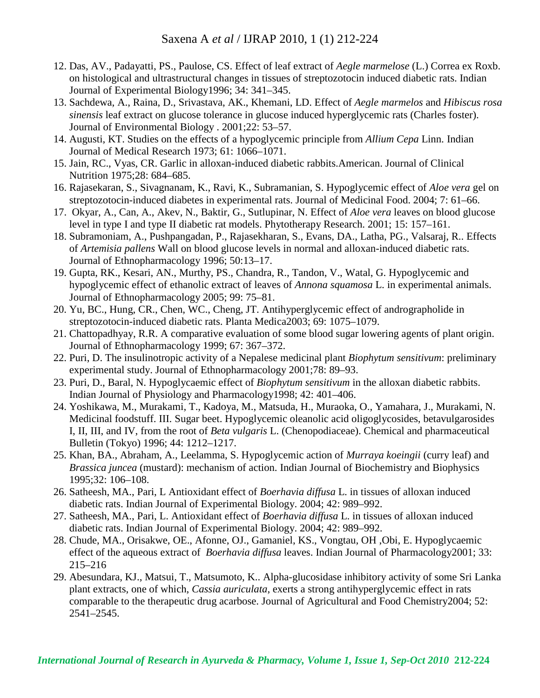- 12. Das, AV., Padayatti, PS., Paulose, CS. Effect of leaf extract of *Aegle marmelose* (L.) Correa ex Roxb. on histological and ultrastructural changes in tissues of streptozotocin induced diabetic rats. Indian Journal of Experimental Biology1996; 34: 341–345.
- 13. Sachdewa, A., Raina, D., Srivastava, AK., Khemani, LD. Effect of *Aegle marmelos* and *Hibiscus rosa sinensis* leaf extract on glucose tolerance in glucose induced hyperglycemic rats (Charles foster). Journal of Environmental Biology . 2001;22: 53–57.
- 14. Augusti, KT. Studies on the effects of a hypoglycemic principle from *Allium Cepa* Linn. Indian Journal of Medical Research 1973; 61: 1066–1071.
- 15. Jain, RC., Vyas, CR. Garlic in alloxan-induced diabetic rabbits.American. Journal of Clinical Nutrition 1975;28: 684–685.
- 16. Rajasekaran, S., Sivagnanam, K., Ravi, K., Subramanian, S. Hypoglycemic effect of *Aloe vera* gel on streptozotocin-induced diabetes in experimental rats. Journal of Medicinal Food. 2004; 7: 61–66.
- 17. Okyar, A., Can, A., Akev, N., Baktir, G., Sutlupinar, N. Effect of *Aloe vera* leaves on blood glucose level in type I and type II diabetic rat models. Phytotherapy Research. 2001; 15: 157–161.
- 18. Subramoniam, A., Pushpangadan, P., Rajasekharan, S., Evans, DA., Latha, PG., Valsaraj, R.. Effects of *Artemisia pallens* Wall on blood glucose levels in normal and alloxan-induced diabetic rats. Journal of Ethnopharmacology 1996; 50:13–17.
- 19. Gupta, RK., Kesari, AN., Murthy, PS., Chandra, R., Tandon, V., Watal, G. Hypoglycemic and hypoglycemic effect of ethanolic extract of leaves of *Annona squamosa* L. in experimental animals. Journal of Ethnopharmacology 2005; 99: 75–81.
- 20. Yu, BC., Hung, CR., Chen, WC., Cheng, JT. Antihyperglycemic effect of andrographolide in streptozotocin-induced diabetic rats. Planta Medica2003; 69: 1075–1079.
- 21. Chattopadhyay, R.R. A comparative evaluation of some blood sugar lowering agents of plant origin. Journal of Ethnopharmacology 1999; 67: 367–372.
- 22. Puri, D. The insulinotropic activity of a Nepalese medicinal plant *Biophytum sensitivum*: preliminary experimental study. Journal of Ethnopharmacology 2001;78: 89–93.
- 23. Puri, D., Baral, N. Hypoglycaemic effect of *Biophytum sensitivum* in the alloxan diabetic rabbits. Indian Journal of Physiology and Pharmacology1998; 42: 401–406.
- 24. Yoshikawa, M., Murakami, T., Kadoya, M., Matsuda, H., Muraoka, O., Yamahara, J., Murakami, N. Medicinal foodstuff. III. Sugar beet. Hypoglycemic oleanolic acid oligoglycosides, betavulgarosides I, II, III, and IV, from the root of *Beta vulgaris* L. (Chenopodiaceae). Chemical and pharmaceutical Bulletin (Tokyo) 1996; 44: 1212–1217.
- 25. Khan, BA., Abraham, A., Leelamma, S. Hypoglycemic action of *Murraya koeingii* (curry leaf) and *Brassica juncea* (mustard): mechanism of action. Indian Journal of Biochemistry and Biophysics 1995;32: 106–108.
- 26. Satheesh, MA., Pari, L Antioxidant effect of *Boerhavia diffusa* L. in tissues of alloxan induced diabetic rats. Indian Journal of Experimental Biology. 2004; 42: 989–992.
- 27. Satheesh, MA., Pari, L. Antioxidant effect of *Boerhavia diffusa* L. in tissues of alloxan induced diabetic rats. Indian Journal of Experimental Biology. 2004; 42: 989–992.
- 28. Chude, MA., Orisakwe, OE., Afonne, OJ., Gamaniel, KS., Vongtau, OH ,Obi, E. Hypoglycaemic effect of the aqueous extract of *Boerhavia diffusa* leaves. Indian Journal of Pharmacology2001; 33: 215–216
- 29. Abesundara, KJ., Matsui, T., Matsumoto, K.. Alpha-glucosidase inhibitory activity of some Sri Lanka plant extracts, one of which, *Cassia auriculata*, exerts a strong antihyperglycemic effect in rats comparable to the therapeutic drug acarbose. Journal of Agricultural and Food Chemistry2004; 52: 2541–2545.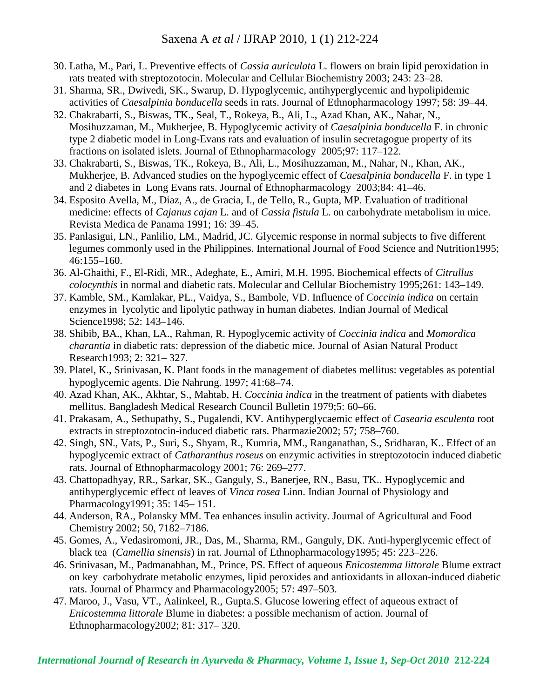- 30. Latha, M., Pari, L. Preventive effects of *Cassia auriculata* L. flowers on brain lipid peroxidation in rats treated with streptozotocin. Molecular and Cellular Biochemistry 2003; 243: 23–28.
- 31. Sharma, SR., Dwivedi, SK., Swarup, D. Hypoglycemic, antihyperglycemic and hypolipidemic activities of *Caesalpinia bonducella* seeds in rats. Journal of Ethnopharmacology 1997; 58: 39–44.
- 32. Chakrabarti, S., Biswas, TK., Seal, T., Rokeya, B., Ali, L., Azad Khan, AK., Nahar, N., Mosihuzzaman, M., Mukherjee, B. Hypoglycemic activity of *Caesalpinia bonducella* F. in chronic type 2 diabetic model in Long-Evans rats and evaluation of insulin secretagogue property of its fractions on isolated islets. Journal of Ethnopharmacology 2005;97: 117–122.
- 33. Chakrabarti, S., Biswas, TK., Rokeya, B., Ali, L., Mosihuzzaman, M., Nahar, N., Khan, AK., Mukherjee, B. Advanced studies on the hypoglycemic effect of *Caesalpinia bonducella* F. in type 1 and 2 diabetes in Long Evans rats. Journal of Ethnopharmacology 2003;84: 41–46.
- 34. Esposito Avella, M., Diaz, A., de Gracia, I., de Tello, R., Gupta, MP. Evaluation of traditional medicine: effects of *Cajanus cajan* L. and of *Cassia fistula* L. on carbohydrate metabolism in mice. Revista Medica de Panama 1991; 16: 39–45.
- 35. Panlasigui, LN., Panlilio, LM., Madrid, JC. Glycemic response in normal subjects to five different legumes commonly used in the Philippines. International Journal of Food Science and Nutrition1995; 46:155–160.
- 36. Al-Ghaithi, F., El-Ridi, MR., Adeghate, E., Amiri, M.H. 1995. Biochemical effects of *Citrullus colocynthis* in normal and diabetic rats. Molecular and Cellular Biochemistry 1995;261: 143–149.
- 37. Kamble, SM., Kamlakar, PL., Vaidya, S., Bambole, VD. Influence of *Coccinia indica* on certain enzymes in lycolytic and lipolytic pathway in human diabetes. Indian Journal of Medical Science1998; 52: 143–146.
- 38. Shibib, BA., Khan, LA., Rahman, R. Hypoglycemic activity of *Coccinia indica* and *Momordica charantia* in diabetic rats: depression of the diabetic mice. Journal of Asian Natural Product Research1993; 2: 321– 327.
- 39. Platel, K., Srinivasan, K. Plant foods in the management of diabetes mellitus: vegetables as potential hypoglycemic agents. Die Nahrung. 1997; 41:68–74.
- 40. Azad Khan, AK., Akhtar, S., Mahtab, H. *Coccinia indica* in the treatment of patients with diabetes mellitus. Bangladesh Medical Research Council Bulletin 1979;5: 60–66.
- 41. Prakasam, A., Sethupathy, S., Pugalendi, KV. Antihyperglycaemic effect of *Casearia esculenta* root extracts in streptozotocin-induced diabetic rats. Pharmazie2002; 57; 758–760.
- 42. Singh, SN., Vats, P., Suri, S., Shyam, R., Kumria, MM., Ranganathan, S., Sridharan, K.. Effect of an hypoglycemic extract of *Catharanthus roseus* on enzymic activities in streptozotocin induced diabetic rats. Journal of Ethnopharmacology 2001; 76: 269–277.
- 43. Chattopadhyay, RR., Sarkar, SK., Ganguly, S., Banerjee, RN., Basu, TK.. Hypoglycemic and antihyperglycemic effect of leaves of *Vinca rosea* Linn. Indian Journal of Physiology and Pharmacology1991; 35: 145– 151.
- 44. Anderson, RA., Polansky MM. Tea enhances insulin activity. Journal of Agricultural and Food Chemistry 2002; 50, 7182–7186.
- 45. Gomes, A., Vedasiromoni, JR., Das, M., Sharma, RM., Ganguly, DK. Anti-hyperglycemic effect of black tea (*Camellia sinensis*) in rat. Journal of Ethnopharmacology1995; 45: 223–226.
- 46. Srinivasan, M., Padmanabhan, M., Prince, PS. Effect of aqueous *Enicostemma littorale* Blume extract on key carbohydrate metabolic enzymes, lipid peroxides and antioxidants in alloxan-induced diabetic rats. Journal of Pharmcy and Pharmacology2005; 57: 497–503.
- 47. Maroo, J., Vasu, VT., Aalinkeel, R., Gupta.S. Glucose lowering effect of aqueous extract of *Enicostemma littorale* Blume in diabetes: a possible mechanism of action. Journal of Ethnopharmacology2002; 81: 317– 320.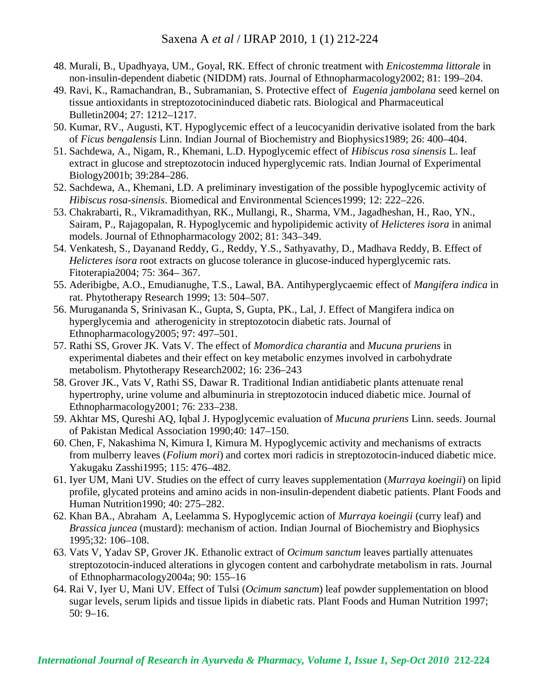- 48. Murali, B., Upadhyaya, UM., Goyal, RK. Effect of chronic treatment with *Enicostemma littorale* in non-insulin-dependent diabetic (NIDDM) rats. Journal of Ethnopharmacology2002; 81: 199–204.
- 49. Ravi, K., Ramachandran, B., Subramanian, S. Protective effect of *Eugenia jambolana* seed kernel on tissue antioxidants in streptozotocininduced diabetic rats. Biological and Pharmaceutical Bulletin2004; 27: 1212–1217.
- 50. Kumar, RV., Augusti, KT. Hypoglycemic effect of a leucocyanidin derivative isolated from the bark of *Ficus bengalensis* Linn. Indian Journal of Biochemistry and Biophysics1989; 26: 400–404.
- 51. Sachdewa, A., Nigam, R., Khemani, L.D. Hypoglycemic effect of *Hibiscus rosa sinensis* L. leaf extract in glucose and streptozotocin induced hyperglycemic rats. Indian Journal of Experimental Biology2001b; 39:284–286.
- 52. Sachdewa, A., Khemani, LD. A preliminary investigation of the possible hypoglycemic activity of *Hibiscus rosa-sinensis*. Biomedical and Environmental Sciences1999; 12: 222–226.
- 53. Chakrabarti, R., Vikramadithyan, RK., Mullangi, R., Sharma, VM., Jagadheshan, H., Rao, YN., Sairam, P., Rajagopalan, R. Hypoglycemic and hypolipidemic activity of *Helicteres isora* in animal models. Journal of Ethnopharmacology 2002; 81: 343–349.
- 54. Venkatesh, S., Dayanand Reddy, G., Reddy, Y.S., Sathyavathy, D., Madhava Reddy, B. Effect of *Helicteres isora* root extracts on glucose tolerance in glucose-induced hyperglycemic rats. Fitoterapia2004; 75: 364– 367.
- 55. Aderibigbe, A.O., Emudianughe, T.S., Lawal, BA. Antihyperglycaemic effect of *Mangifera indica* in rat. Phytotherapy Research 1999; 13: 504–507.
- 56. Murugananda S, Srinivasan K., Gupta, S, Gupta, PK., Lal, J. Effect of Mangifera indica on hyperglycemia and atherogenicity in streptozotocin diabetic rats. Journal of Ethnopharmacology2005; 97: 497–501.
- 57. Rathi SS, Grover JK. Vats V. The effect of *Momordica charantia* and *Mucuna pruriens* in experimental diabetes and their effect on key metabolic enzymes involved in carbohydrate metabolism. Phytotherapy Research2002; 16: 236–243
- 58. Grover JK., Vats V, Rathi SS, Dawar R. Traditional Indian antidiabetic plants attenuate renal hypertrophy, urine volume and albuminuria in streptozotocin induced diabetic mice. Journal of Ethnopharmacology2001; 76: 233–238.
- 59. Akhtar MS, Qureshi AQ, Iqbal J. Hypoglycemic evaluation of *Mucuna pruriens* Linn. seeds. Journal of Pakistan Medical Association 1990;40: 147–150.
- 60. Chen, F, Nakashima N, Kimura I, Kimura M. Hypoglycemic activity and mechanisms of extracts from mulberry leaves (*Folium mori*) and cortex mori radicis in streptozotocin-induced diabetic mice. Yakugaku Zasshi1995; 115: 476–482.
- 61. Iyer UM, Mani UV. Studies on the effect of curry leaves supplementation (*Murraya koeingii*) on lipid profile, glycated proteins and amino acids in non-insulin-dependent diabetic patients. Plant Foods and Human Nutrition1990; 40: 275–282.
- 62. Khan BA., Abraham A, Leelamma S. Hypoglycemic action of *Murraya koeingii* (curry leaf) and *Brassica juncea* (mustard): mechanism of action. Indian Journal of Biochemistry and Biophysics 1995;32: 106–108.
- 63. Vats V, Yadav SP, Grover JK. Ethanolic extract of *Ocimum sanctum* leaves partially attenuates streptozotocin-induced alterations in glycogen content and carbohydrate metabolism in rats. Journal of Ethnopharmacology2004a; 90: 155–16
- 64. Rai V, Iyer U, Mani UV. Effect of Tulsi (*Ocimum sanctum*) leaf powder supplementation on blood sugar levels, serum lipids and tissue lipids in diabetic rats. Plant Foods and Human Nutrition 1997; 50: 9–16.